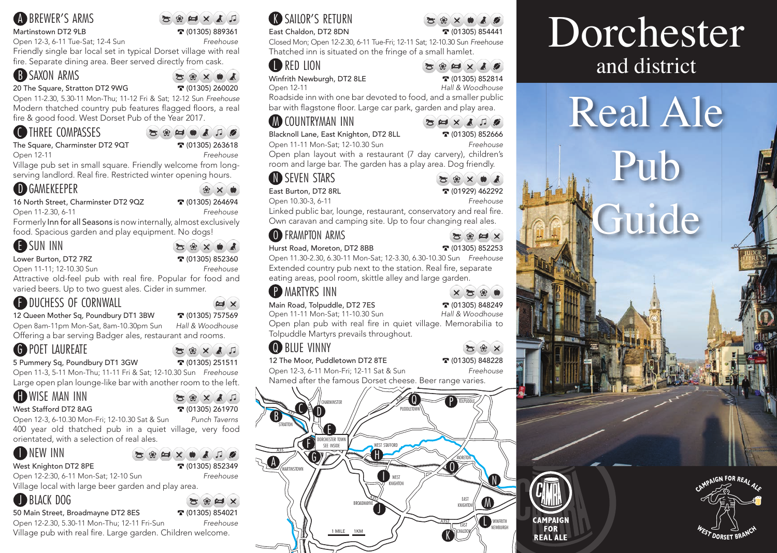#### **A** BREWER'S ARMS

#### Martinstown DT2 9LB **389361 or** (01305) 889361

Open 12-3, 6-11 Tue-Sat; 12-4 Sun *Freehouse*

Friendly single bar local set in typical Dorset village with real fire. Separate dining area. Beer served directly from cask.

# **B** SAXON ARMS

20 The Square, Stratton DT2 9WG **T** (01305) 260020

 $\mathbb{R}$   $\times$   $\times$   $\mathbb{R}$ 

Open 11-2.30, 5.30-11 Mon-Thu; 11-12 Fri & Sat; 12-12 Sun *Freehouse* Modern thatched country pub features flagged floors, a real fire & good food. West Dorset Pub of the Year 2017.

### **C** THREE COMPASSES

The Square, Charminster DT2 9QT  $\bullet$  (01305) 263618

 $39.44 \pm 0.00$ 

 $\times$   $\bullet$ 

Open 12-11 *Freehouse* Village pub set in small square. Friendly welcome from longserving landlord. Real fire. Restricted winter opening hours.

#### **D** GAMEKEEPER

16 North Street, Charminster DT2 9QZ **T** (01305) 264694

Open 11-2.30, 6-11 *Freehouse*

Formerly Inn for all Seasons is now internally, almost exclusively

food. Spacious garden and play equipment. No dogs!

#### E SUN INN

Lower Burton, DT2 7RZ **b c** (01305) 852360

Open 11-11; 12-10.30 Sun *Freehouse*

Attractive old-feel pub with real fire. Popular for food and varied beers. Up to two guest ales. Cider in summer.

# **ENDUCHESS OF CORNWALL**

12 Queen Mother Sq, Poundbury DT1 3BW **3** (01305) 757569

Open 8am-11pm Mon-Sat, 8am-10.30pm Sun *Hall & Woodhouse* Offering a bar serving Badger ales, restaurant and rooms.

 $58 \times 17$ 

 $\mathbf{X} \otimes \mathbf{X} \otimes \mathbf{X}$ 

# G POET LAUREATE

5 Pummery Sq, Poundbury DT1 3GW **T** (01305) 251511

Open 11-3, 5-11 Mon-Thu; 11-11 Fri & Sat; 12-10.30 Sun *Freehouse* Large open plan lounge-like bar with another room to the left.

# **H** WISE MAN INN

#### West Stafford DT2 8AG **b** (01305) 261970

Open 12-3, 6-10.30 Mon-Fri; 12-10.30 Sat & Sun *Punch Taverns* 400 year old thatched pub in a quiet village, very food

orientated, with a selection of real ales.

#### **ID NEW INN**

#### $\mathcal{L}(\mathcal{R}|\mathcal{L})\times\mathcal{L}$  ,  $\mathcal{L}$  ,  $\mathcal{L}$ West Knighton DT2 8PE **of the COLL 12005** (01305) 852349 Open 12-2:30, 6-11 Mon-Sat; 12-10 Sun *Freehouse*

Village local with large beer garden and play area.

# **D** BLACK DOG

#### 50 Main Street, Broadmayne DT2 8ES **T** (01305) 854021

Open 12-2.30, 5.30-11 Mon-Thu; 12-11 Fri-Sun *Freehouse* Village pub with real fire. Large garden. Children welcome.

# **K** SAILOR'S RETURN

East Chaldon, DT2 8DN **314441 1205)** 854441

Closed Mon; Open 12-2.30, 6-11 Tue-Fri; 12-11 Sat; 12-10.30 Sun *Freehouse* Thatched inn is situated on the fringe of a small hamlet.

#### **ID RED LION**

Winfrith Newburgh, DT2 8LE<br>
Open 12-11<br>
Hall & Woodhouse

Roadside inn with one bar devoted to food, and a smaller public bar with flagstone floor. Large car park, garden and play area.

#### **M** COUNTRYMAN INN

Blacknoll Lane, East Knighton, DT2 8LL **T** (01305) 852666 Open 11-11 Mon-Sat; 12-10.30 Sun *Freehouse*

 $\mathbf{E} \left[ \mathbf{H} \times \mathbf{A} \right]$ 

**Hall & Woodhouse** 

 $384 \times 10$ 

Open plan layout with a restaurant (7 day carvery), children's room and large bar. The garden has a play area. Dog friendly.

# **N** SEVEN STARS

East Burton, DT2 8RL 2010 101929) 462292 Open 10.30-3, 6-11 *Freehouse*

 $Z \otimes H \times$ 

Linked public bar, lounge, restaurant, conservatory and real fire. Own caravan and camping site. Up to four changing real ales.

#### O FRAMPTON ARMS

Hurst Road, Moreton, DT2 8BB **312253** 

Open 11.30-2.30, 6.30-11 Mon-Sat; 12-3.30, 6.30-10.30 Sun *Freehouse* Extended country pub next to the station. Real fire, separate eating areas, pool room, skittle alley and large garden.

#### **P MARTYRS INN**

Main Road, Tolpuddle, DT2 7ES o (01305) 848249 Open 11-11 Mon-Sat; 11-10.30 Sun *Hall & Woodhouse* Open plan pub with real fire in quiet village. Memorabilia to Tolpuddle Martyrs prevails throughout.

# **Q** BILLE VINNY

12 The Moor, Puddletown DT2 8TE **328** (01305) 848228 Open 12-3, 6-11 Mon-Fri; 12-11 Sat & Sun *Freehouse*

Named after the famous Dorset cheese. Beer range varies.



# Dorchester and district







 $X \times \mathbb{R}$ 

WOOL

**CAMPAIGN** FOR **REAL ALE** 

 $\mathbb{Z} \otimes \mathbb{X}$ 

**SEXAP**